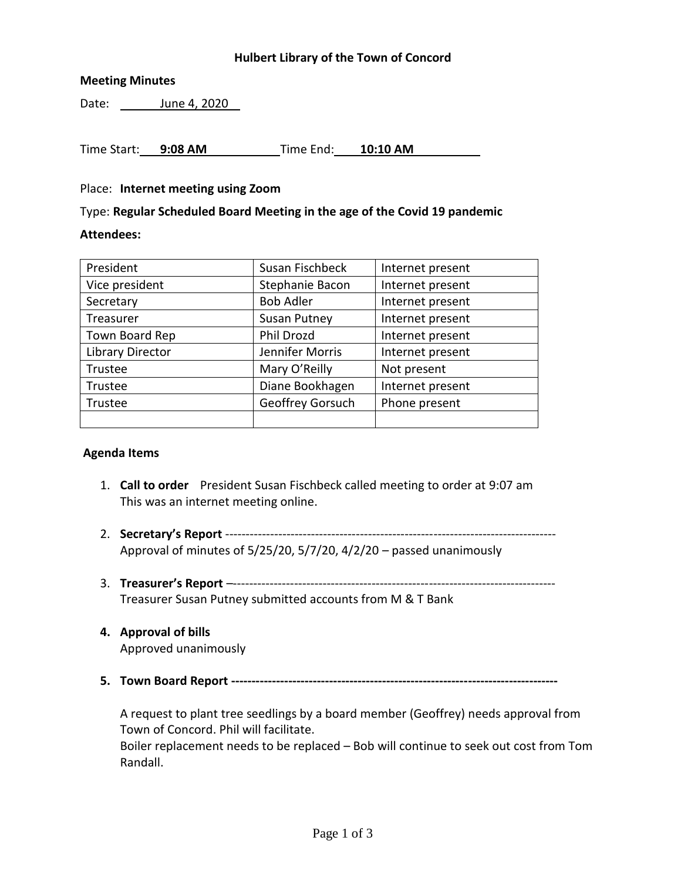## **Hulbert Library of the Town of Concord**

## **Meeting Minutes**

Date: June 4, 2020

Time Start: **9:08 AM** Time End: **10:10 AM**

#### Place: **Internet meeting using Zoom**

Type: **Regular Scheduled Board Meeting in the age of the Covid 19 pandemic**

## **Attendees:**

| President               | Susan Fischbeck     | Internet present |
|-------------------------|---------------------|------------------|
| Vice president          | Stephanie Bacon     | Internet present |
| Secretary               | <b>Bob Adler</b>    | Internet present |
| Treasurer               | <b>Susan Putney</b> | Internet present |
| Town Board Rep          | Phil Drozd          | Internet present |
| <b>Library Director</b> | Jennifer Morris     | Internet present |
| Trustee                 | Mary O'Reilly       | Not present      |
| Trustee                 | Diane Bookhagen     | Internet present |
| Trustee                 | Geoffrey Gorsuch    | Phone present    |
|                         |                     |                  |

#### **Agenda Items**

- 1. **Call to order** President Susan Fischbeck called meeting to order at 9:07 am This was an internet meeting online.
- 2. **Secretary's Report** --------------------------------------------------------------------------------- Approval of minutes of 5/25/20, 5/7/20, 4/2/20 – passed unanimously
- 3. **Treasurer's Report** –------------------------------------------------------------------------------- Treasurer Susan Putney submitted accounts from M & T Bank
- **4. Approval of bills** Approved unanimously
- **5. Town Board Report --------------------------------------------------------------------------------**

A request to plant tree seedlings by a board member (Geoffrey) needs approval from Town of Concord. Phil will facilitate. Boiler replacement needs to be replaced – Bob will continue to seek out cost from Tom Randall.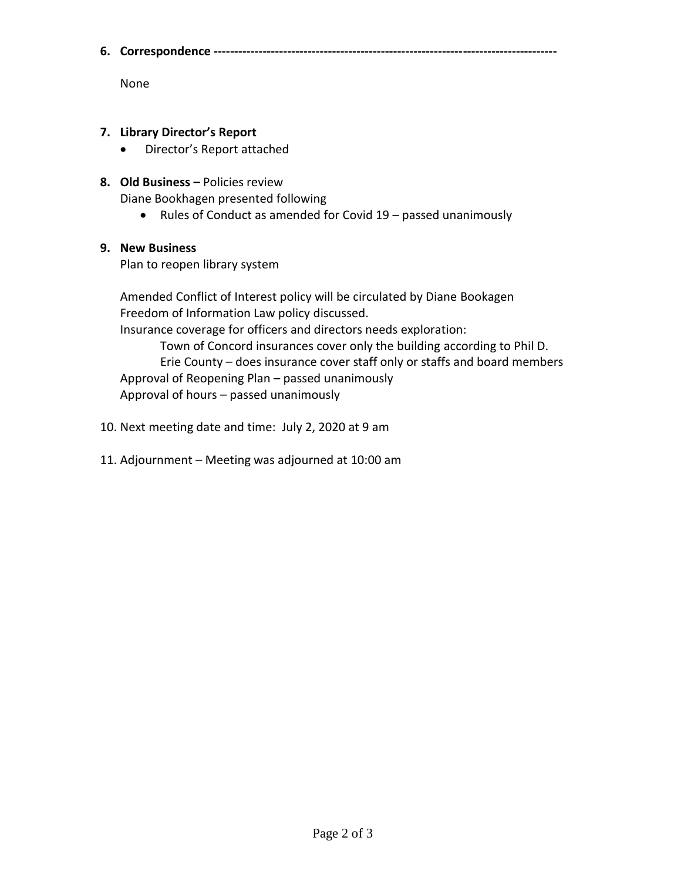**6. Correspondence ------------------------------------------------------------------------------------**

None

- **7. Library Director's Report**
	- Director's Report attached
- **8. Old Business –** Policies review

Diane Bookhagen presented following

• Rules of Conduct as amended for Covid  $19$  – passed unanimously

# **9. New Business**

Plan to reopen library system

Amended Conflict of Interest policy will be circulated by Diane Bookagen Freedom of Information Law policy discussed.

Insurance coverage for officers and directors needs exploration:

Town of Concord insurances cover only the building according to Phil D. Erie County – does insurance cover staff only or staffs and board members Approval of Reopening Plan – passed unanimously Approval of hours – passed unanimously

- 10. Next meeting date and time: July 2, 2020 at 9 am
- 11. Adjournment Meeting was adjourned at 10:00 am